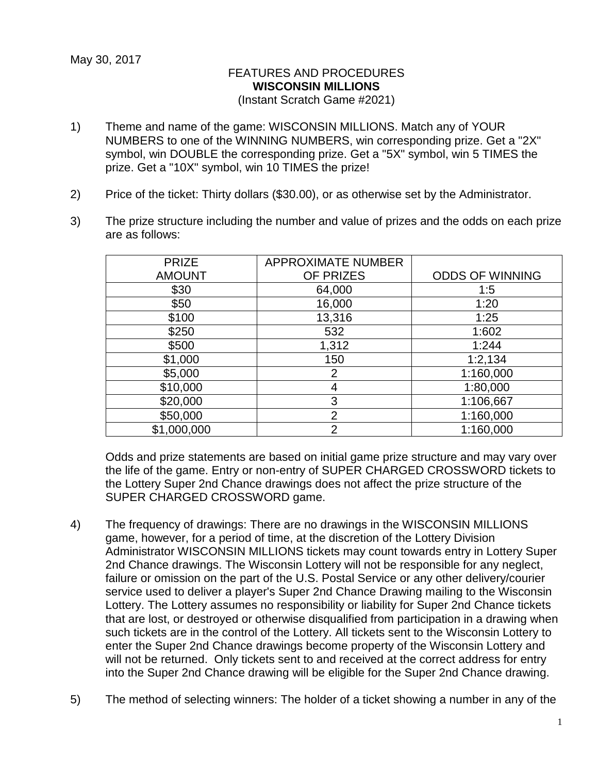## FEATURES AND PROCEDURES **WISCONSIN MILLIONS**

(Instant Scratch Game #2021)

- 1) Theme and name of the game: WISCONSIN MILLIONS. Match any of YOUR NUMBERS to one of the WINNING NUMBERS, win corresponding prize. Get a "2X" symbol, win DOUBLE the corresponding prize. Get a "5X" symbol, win 5 TIMES the prize. Get a "10X" symbol, win 10 TIMES the prize!
- 2) Price of the ticket: Thirty dollars (\$30.00), or as otherwise set by the Administrator.
- 3) The prize structure including the number and value of prizes and the odds on each prize are as follows:

| <b>PRIZE</b>  | <b>APPROXIMATE NUMBER</b> |                        |
|---------------|---------------------------|------------------------|
| <b>AMOUNT</b> | OF PRIZES                 | <b>ODDS OF WINNING</b> |
| \$30          | 64,000                    | 1:5                    |
| \$50          | 16,000                    | 1:20                   |
| \$100         | 13,316                    | 1:25                   |
| \$250         | 532                       | 1:602                  |
| \$500         | 1,312                     | 1:244                  |
| \$1,000       | 150                       | 1:2,134                |
| \$5,000       | $\overline{2}$            | 1:160,000              |
| \$10,000      | 4                         | 1:80,000               |
| \$20,000      | 3                         | 1:106,667              |
| \$50,000      | $\overline{2}$            | 1:160,000              |
| \$1,000,000   | $\overline{2}$            | 1:160,000              |

Odds and prize statements are based on initial game prize structure and may vary over the life of the game. Entry or non-entry of SUPER CHARGED CROSSWORD tickets to the Lottery Super 2nd Chance drawings does not affect the prize structure of the SUPER CHARGED CROSSWORD game.

- 4) The frequency of drawings: There are no drawings in the WISCONSIN MILLIONS game, however, for a period of time, at the discretion of the Lottery Division Administrator WISCONSIN MILLIONS tickets may count towards entry in Lottery Super 2nd Chance drawings. The Wisconsin Lottery will not be responsible for any neglect, failure or omission on the part of the U.S. Postal Service or any other delivery/courier service used to deliver a player's Super 2nd Chance Drawing mailing to the Wisconsin Lottery. The Lottery assumes no responsibility or liability for Super 2nd Chance tickets that are lost, or destroyed or otherwise disqualified from participation in a drawing when such tickets are in the control of the Lottery. All tickets sent to the Wisconsin Lottery to enter the Super 2nd Chance drawings become property of the Wisconsin Lottery and will not be returned. Only tickets sent to and received at the correct address for entry into the Super 2nd Chance drawing will be eligible for the Super 2nd Chance drawing.
- 5) The method of selecting winners: The holder of a ticket showing a number in any of the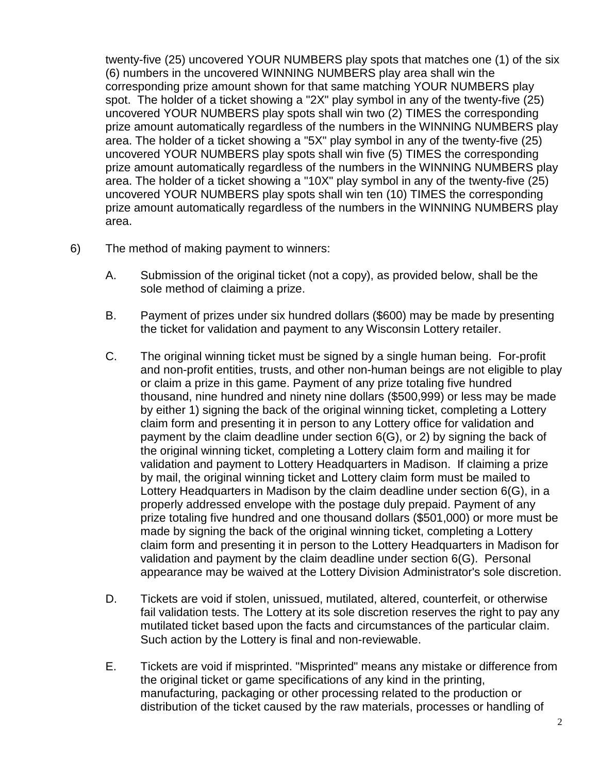twenty-five (25) uncovered YOUR NUMBERS play spots that matches one (1) of the six (6) numbers in the uncovered WINNING NUMBERS play area shall win the corresponding prize amount shown for that same matching YOUR NUMBERS play spot. The holder of a ticket showing a "2X" play symbol in any of the twenty-five (25) uncovered YOUR NUMBERS play spots shall win two (2) TIMES the corresponding prize amount automatically regardless of the numbers in the WINNING NUMBERS play area. The holder of a ticket showing a "5X" play symbol in any of the twenty-five (25) uncovered YOUR NUMBERS play spots shall win five (5) TIMES the corresponding prize amount automatically regardless of the numbers in the WINNING NUMBERS play area. The holder of a ticket showing a "10X" play symbol in any of the twenty-five (25) uncovered YOUR NUMBERS play spots shall win ten (10) TIMES the corresponding prize amount automatically regardless of the numbers in the WINNING NUMBERS play area.

- 6) The method of making payment to winners:
	- A. Submission of the original ticket (not a copy), as provided below, shall be the sole method of claiming a prize.
	- B. Payment of prizes under six hundred dollars (\$600) may be made by presenting the ticket for validation and payment to any Wisconsin Lottery retailer.
	- C. The original winning ticket must be signed by a single human being. For-profit and non-profit entities, trusts, and other non-human beings are not eligible to play or claim a prize in this game. Payment of any prize totaling five hundred thousand, nine hundred and ninety nine dollars (\$500,999) or less may be made by either 1) signing the back of the original winning ticket, completing a Lottery claim form and presenting it in person to any Lottery office for validation and payment by the claim deadline under section 6(G), or 2) by signing the back of the original winning ticket, completing a Lottery claim form and mailing it for validation and payment to Lottery Headquarters in Madison. If claiming a prize by mail, the original winning ticket and Lottery claim form must be mailed to Lottery Headquarters in Madison by the claim deadline under section 6(G), in a properly addressed envelope with the postage duly prepaid. Payment of any prize totaling five hundred and one thousand dollars (\$501,000) or more must be made by signing the back of the original winning ticket, completing a Lottery claim form and presenting it in person to the Lottery Headquarters in Madison for validation and payment by the claim deadline under section 6(G). Personal appearance may be waived at the Lottery Division Administrator's sole discretion.
	- D. Tickets are void if stolen, unissued, mutilated, altered, counterfeit, or otherwise fail validation tests. The Lottery at its sole discretion reserves the right to pay any mutilated ticket based upon the facts and circumstances of the particular claim. Such action by the Lottery is final and non-reviewable.
	- E. Tickets are void if misprinted. "Misprinted" means any mistake or difference from the original ticket or game specifications of any kind in the printing, manufacturing, packaging or other processing related to the production or distribution of the ticket caused by the raw materials, processes or handling of